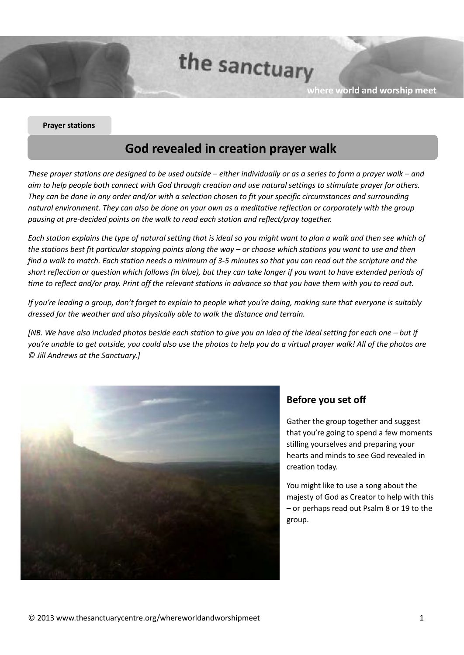the sanctuary

**where world and worship meet**

#### **Prayer stations**

# **God revealed in creation prayer walk**

These prayer stations are designed to be used outside – either individually or as a series to form a prayer walk – and *aim to help people both connect with God through creation and use natural settings to stimulate prayer for others. They can be done in any order and/or with a selection chosen to fit your specific circumstances and surrounding natural environment. They can also be done on your own as a meditative reflection or corporately with the group pausing at pre-decided points on the walk to read each station and reflect/pray together.*

Each station explains the type of natural setting that is ideal so you might want to plan a walk and then see which of *the stations best fit particular stopping points along the way – or choose which stations you want to use and then find a walk to match. Each station needs a minimum of 3-5 minutes so that you can read out the scripture and the* short reflection or question which follows (in blue), but they can take longer if you want to have extended periods of time to reflect and/or pray. Print off the relevant stations in advance so that you have them with you to read out.

*If you're leading a group, don't forget to explain to people what you're doing, making sure that everyone is suitably dressed for the weather and also physically able to walk the distance and terrain.*

[NB. We have also included photos beside each station to give you an idea of the ideal setting for each one – but if *you're unable to get outside, you could also use the photos to help you do a virtual prayer walk! All of the photos are © Jill Andrews at the Sanctuary.]*



### **Before you set off**

Gather the group together and suggest that you're going to spend a few moments stilling yourselves and preparing your hearts and minds to see God revealed in creation today.

You might like to use a song about the majesty of God as Creator to help with this – or perhaps read out Psalm 8 or 19 to the group.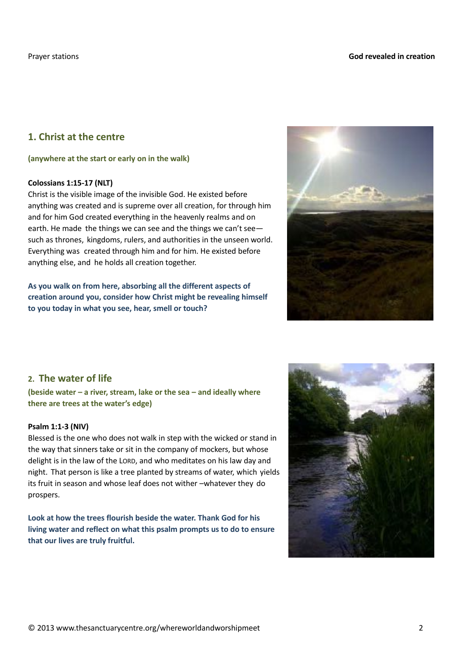# **1. Christ at the centre**

#### **(anywhere at the start or early on in the walk)**

#### **Colossians 1:15-17 (NLT)**

Christ is the visible image of the invisible God. He existed before anything was created and is supreme over all creation, for through him and for him God created everything in the heavenly realms and on earth. He made the things we can see and the things we can't see such as thrones, kingdoms, rulers, and authorities in the unseen world. Everything was created through him and for him. He existed before anything else, and he holds all creation together.

**As you walk on from here, absorbing all the different aspects of creation around you, consider how Christ might be revealing himself to you today in what you see, hear, smell or touch?**



### **2. The water of life**

**(beside water – a river, stream, lake or the sea – and ideally where there are trees at the water's edge)**

#### **Psalm 1:1-3 (NIV)**

Blessed is the one who does not walk in step with the wicked or stand in the way that sinners take or sit in the company of mockers, but whose delight is in the law of the LORD, and who meditates on his law day and night. That person is like a tree planted by streams of water, which yields its fruit in season and whose leaf does not wither –whatever they do prospers.

**Look at how the trees flourish beside the water. Thank God for his living water and reflect on what this psalm prompts us to do to ensure that our lives are truly fruitful.**

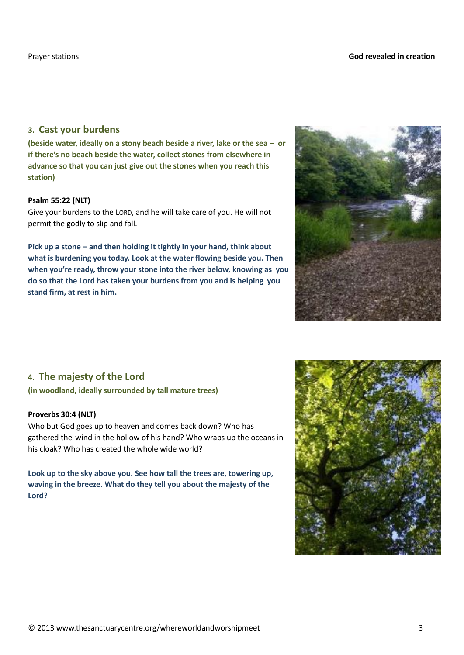### **3. Cast your burdens**

**(beside water, ideally on a stony beach beside a river, lake or the sea – or if there's no beach beside the water, collect stones from elsewhere in advance so that you can just give out the stones when you reach this station)**

### **Psalm 55:22 (NLT)**

Give your burdens to the LORD, and he will take care of you. He will not permit the godly to slip and fall.

**Pick up a stone – and then holding it tightly in your hand, think about what is burdening you today. Look at the water flowing beside you. Then when you're ready, throw your stone into the river below, knowing as you do so that the Lord has taken your burdens from you and is helping you stand firm, at rest in him.**



# **4. The majesty of the Lord**

### **(in woodland, ideally surrounded by tall mature trees)**

### **Proverbs 30:4 (NLT)**

Who but God goes up to heaven and comes back down? Who has gathered the wind in the hollow of his hand? Who wraps up the oceans in his cloak? Who has created the whole wide world?

**Look up to the sky above you. See how tall the trees are, towering up, waving in the breeze. What do they tell you about the majesty of the Lord?**

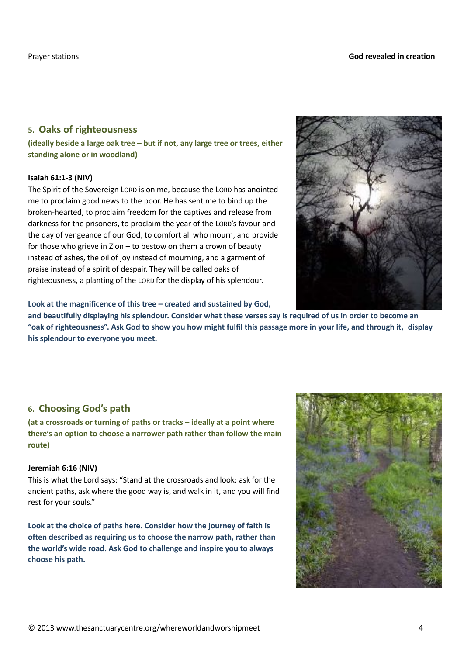### **5. Oaks of righteousness**

**(ideally beside a large oak tree – but if not, any large tree or trees, either standing alone or in woodland)**

#### **Isaiah 61:1-3 (NIV)**

The Spirit of the Sovereign LORD is on me, because the LORD has anointed me to proclaim good news to the poor. He has sent me to bind up the broken-hearted, to proclaim freedom for the captives and release from darkness for the prisoners, to proclaim the year of the LORD's favour and the day of vengeance of our God, to comfort all who mourn, and provide for those who grieve in Zion – to bestow on them a crown of beauty instead of ashes, the oil of joy instead of mourning, and a garment of praise instead of a spirit of despair. They will be called oaks of righteousness, a planting of the LORD for the display of his splendour.



**Look at the magnificence of this tree – created and sustained by God,**

**and beautifully displaying his splendour. Consider what these verses say is required of us in order to become an** "oak of righteousness". Ask God to show you how might fulfil this passage more in your life, and through it, display **his splendour to everyone you meet.**

# **6. Choosing God's path**

**(at a crossroads or turning of paths or tracks – ideally at a point where there's an option to choose a narrower path rather than follow the main route)**

### **Jeremiah 6:16 (NIV)**

This is what the Lord says: "Stand at the crossroads and look; ask for the ancient paths, ask where the good way is, and walk in it, and you will find rest for your souls."

**Look at the choice of paths here. Consider how the journey of faith is often described as requiring us to choose the narrow path, rather than the world's wide road. Ask God to challenge and inspire you to always choose his path.**

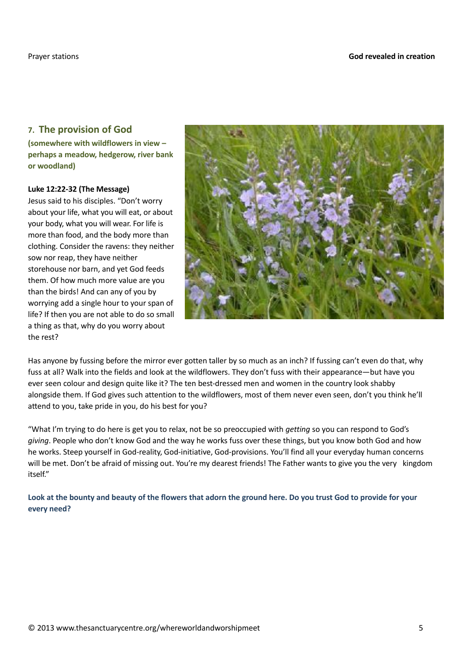# **7. The provision of God**

**(somewhere with wildflowers in view – perhaps a meadow, hedgerow, river bank or woodland)**

#### **Luke 12:22-32 (The Message)**

Jesus said to his disciples. "Don't worry about your life, what you will eat, or about your body, what you will wear. For life is more than food, and the body more than clothing. Consider the ravens: they neither sow nor reap, they have neither storehouse nor barn, and yet God feeds them. Of how much more value are you than the birds! And can any of you by worrying add a single hour to your span of life? If then you are not able to do so small a thing as that, why do you worry about the rest?



Has anyone by fussing before the mirror ever gotten taller by so much as an inch? If fussing can't even do that, why fuss at all? Walk into the fields and look at the wildflowers. They don't fuss with their appearance—but have you ever seen colour and design quite like it? The ten best-dressed men and women in the country look shabby alongside them. If God gives such attention to the wildflowers, most of them never even seen, don't you think he'll attend to you, take pride in you, do his best for you?

"What I'm trying to do here is get you to relax, not be so preoccupied with *getting* so you can respond to God's *giving*. People who don't know God and the way he works fuss over these things, but you know both God and how he works. Steep yourself in God-reality, God-initiative, God-provisions. You'll find all your everyday human concerns will be met. Don't be afraid of missing out. You're my dearest friends! The Father wants to give you the very kingdom itself"

**Look at the bounty and beauty of the flowers that adorn the ground here. Do you trust God to provide for your every need?**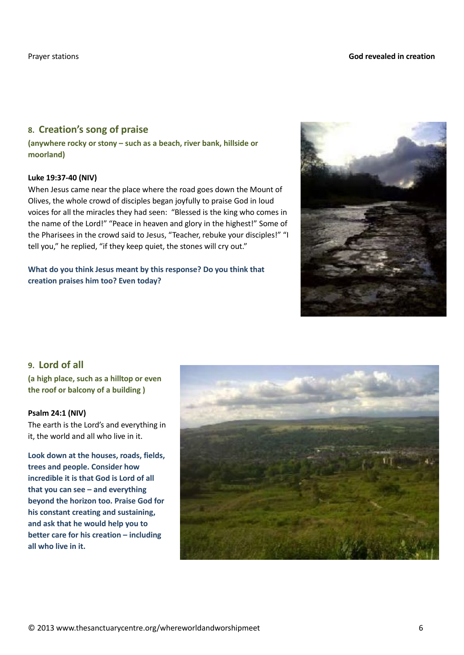# **8. Creation's song of praise**

**(anywhere rocky or stony – such as a beach, river bank, hillside or moorland)**

### **Luke 19:37-40 (NIV)**

When Jesus came near the place where the road goes down the Mount of Olives, the whole crowd of disciples began joyfully to praise God in loud voices for all the miracles they had seen: "Blessed is the king who comes in the name of the Lord!" "Peace in heaven and glory in the highest!" Some of the Pharisees in the crowd said to Jesus, "Teacher, rebuke your disciples!" "I tell you," he replied, "if they keep quiet, the stones will cry out."

**What do you think Jesus meant by this response? Do you think that creation praises him too? Even today?**



# **9. Lord of all**

**(a high place, such as a hilltop or even the roof or balcony of a building )**

### **Psalm 24:1 (NIV)**

The earth is the Lord's and everything in it, the world and all who live in it.

**Look down at the houses, roads, fields, trees and people. Consider how incredible it is that God is Lord of all that you can see – and everything beyond the horizon too. Praise God for his constant creating and sustaining, and ask that he would help you to better care for his creation – including all who live in it.**

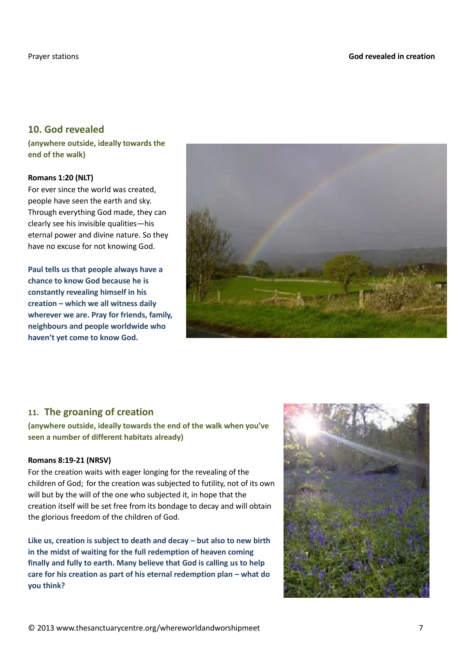# **10. God revealed**

**(anywhere outside, ideally towards the end of the walk)**

#### **Romans 1:20 (NLT)**

For ever since the world was created, people have seen the earth and sky. Through everything God made, they can clearly see his invisible qualities—his eternal power and divine nature. So they have no excuse for not knowing God.

**Paul tells us that people always have a chance to know God because he is constantly revealing himself in his creation – which we all witness daily wherever we are. Pray for friends, family, neighbours and people worldwide who haven't yet come to know God.**



# **11. The groaning of creation**

**(anywhere outside, ideally towards the end of the walk when you've seen a number of different habitats already)**

### **Romans 8:19-21 (NRSV)**

For the creation waits with eager longing for the revealing of the children of God; for the creation was subjected to futility, not of its own will but by the will of the one who subjected it, in hope that the creation itself will be set free from its bondage to decay and will obtain the glorious freedom of the children of God.

**Like us, creation is subject to death and decay – but also to new birth in the midst of waiting for the full redemption of heaven coming finally and fully to earth. Many believe that God is calling us to help care for his creation as part of his eternal redemption plan – what do you think?**